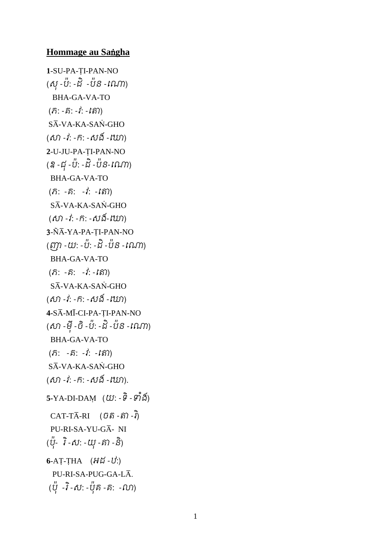## **Hommage au Sa**ª**gha**

```
1-SU-PA-TI-PAN-NO
(សុ -ប:៉ -ដិ -ប៉ន -ណោ)
   BHA-GA-VA-TO 
(5: -5: -1: -15)S\overline{A}-VA-KA-SAN-GHO
(សា -វ: -ក: -សង -ណោ)
2-U-JU-PA-TI-PAN-NO
(ឧ -ជុ -ប៉: -ដិ-ប៉ន-ណោ)
  BHA-GA-VA-TO 
( \hat{n}: - \hat{n}: - \hat{i}: - \hat{i})
 S\overline{A}-VA-KA-SAN-GHO
(សា -វ: -ក: -សង-ណោ)
3-ÑĀ-YA-PA-TI-PAN-NO
(ញា -យ: -ប៉: -ដិ-ប៉ន -ណោ)
  BHA-GA-VA-TO 
( \hat{\Omega} : - \hat{\Omega} : - \hat{i} : - \hat{k} \hat{\Omega} )S\overline{A}-VA-KA-SAN-GHO
(សា -វ: -ក: -សង -ណោ)
4-S¾-M¿-CI-PA-ÝI-PAN-NO 
(សា -មុ៉ី
-ចិ
-ប៉: -ដិ-ប៉ន -ណោ)
  BHA-GA-VA-TO 
( \hat{\Omega}: - \hat{\Omega}: - \hat{i}: - \hat{i} \hat{\Omega})
 S\overline{A}-VA-KA-SAN-GHO
(សា -វ: -ក: -សង -ណោ).
5-YA-DI-DAM (យ: -ទ -ទាំង)
CAT-T\overline{A}-RI (\hat{U}\hat{\delta}\hat{\delta}-\hat{\delta}\hat{\delta})-iPU-RI-SA-YU-GA- NI
(បុ- ۱ -ស: -យុ -គា -ន)
6-AT-THA (H\breve{u}-U)PII-RI-SA-PIJG-GA-I.\overline{A}.
 (បុ -រ -ស: -បុគ៌ -គ៌: -លា)
```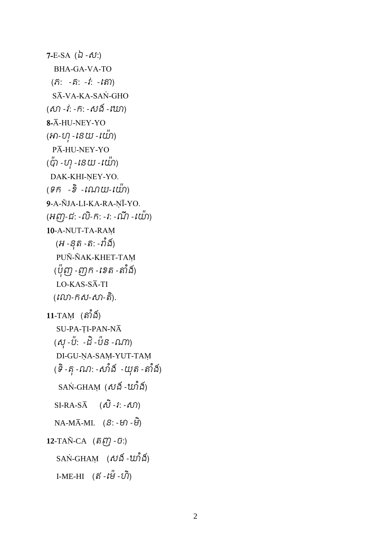```
7-E-SA (\lambda - \delta \mathcal{U}) BHA-GA-VA-TO 
 ( \hat{n}: -\hat{n}: -\hat{l}: -|\hat{m}\rangleSĀ-VA-KA-SAŇ-GHO
(សា -វ: -ក: -សង -ណោ)
8-Ā-HU-NEY-YO
(អា-ហុ -នេយ -ឈ៉ា)PĀ-HU-NEY-YO
(\H{w} - \omega - \omega - \omega)DAK-KHI-NEY-YO.
(ទឹក -ខ -ណេយ-យោ)
9-A-ÑJA-LI-KA-RA-NĪ-YO.
(អញ-ជ: -ល-ក: -វ: -ណ -យោ<sub>)</sub>
10-A-NUT-TA-RAþ 
   (អ -នុត -ត: -រាំង៍)
   PUÑ-ÑAK-KHET-TAM
  (ប៉ុញ -ញុក - ខេត -តាំង៍)
   LO-KAS-S\overline{A}-TI
 (ណលា-កស-សា-តិ
).
11-TAM (ຄຳ້ង័)
   SU-PA-TI-PAN-NA
  (សុ -ប៉: -ដំ -ប៉ន -ណា)
   DI-GU-ŅA-SAŅ-YUT-TAŅ
( ទិ -គុ -ណ: -សាំង៍  -យុត -តាំង៍)
   SAN-GHAM (\delta\delta) -\hat{w_1}\hat{s_2} SI-RA-S¾ (សិ
-រ: -សា)
NA-M\overline{A}-MI. (S: -ម៉ា -ម៊ិ)12-TAÑ-CA (\hat{\delta}\hat{\ell}\hat{\eta})-\hat{\upsilon}:)
   SAN-GHAM (\delta\delta\delta - w\delta\delta)I-ME-HI (ឥ - № - ហ)
```